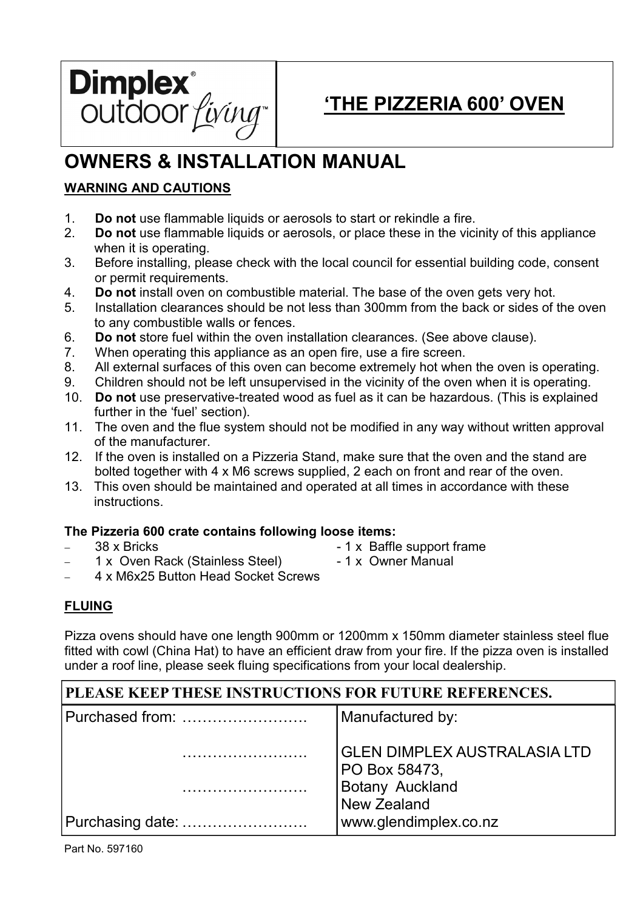

# 'THE PIZZERIA 600' OVEN

# OWNERS & INSTALLATION MANUAL

# WARNING AND CAUTIONS

- 1. Do not use flammable liquids or aerosols to start or rekindle a fire.
- 2. Do not use flammable liquids or aerosols, or place these in the vicinity of this appliance when it is operating.
- 3. Before installing, please check with the local council for essential building code, consent or permit requirements.
- 4. Do not install oven on combustible material. The base of the oven gets very hot.
- 5. Installation clearances should be not less than 300mm from the back or sides of the oven to any combustible walls or fences.
- 6. Do not store fuel within the oven installation clearances. (See above clause).
- 7. When operating this appliance as an open fire, use a fire screen.
- 8. All external surfaces of this oven can become extremely hot when the oven is operating.
- 9. Children should not be left unsupervised in the vicinity of the oven when it is operating.
- 10. Do not use preservative-treated wood as fuel as it can be hazardous. (This is explained further in the 'fuel' section).
- 11. The oven and the flue system should not be modified in any way without written approval of the manufacturer.
- 12. If the oven is installed on a Pizzeria Stand, make sure that the oven and the stand are bolted together with 4 x M6 screws supplied, 2 each on front and rear of the oven.
- 13. This oven should be maintained and operated at all times in accordance with these instructions.

# The Pizzeria 600 crate contains following loose items:

- 
- − 38 x Bricks 1 x Baffle support frame
- 1 x Oven Rack (Stainless Steel) 1 x Owner Manual
	-
- − 4 x M6x25 Button Head Socket Screws

# FLUING

Pizza ovens should have one length 900mm or 1200mm x 150mm diameter stainless steel flue fitted with cowl (China Hat) to have an efficient draw from your fire. If the pizza oven is installed under a roof line, please seek fluing specifications from your local dealership.

# PLEASE KEEP THESE INSTRUCTIONS FOR FUTURE REFERENCES.

| Purchased from:  | Manufactured by:                                |  |  |
|------------------|-------------------------------------------------|--|--|
|                  | <b>GLEN DIMPLEX AUSTRALASIA LTD</b>             |  |  |
|                  | PO Box 58473,<br>Botany Auckland<br>New Zealand |  |  |
| Purchasing date: | www.glendimplex.co.nz                           |  |  |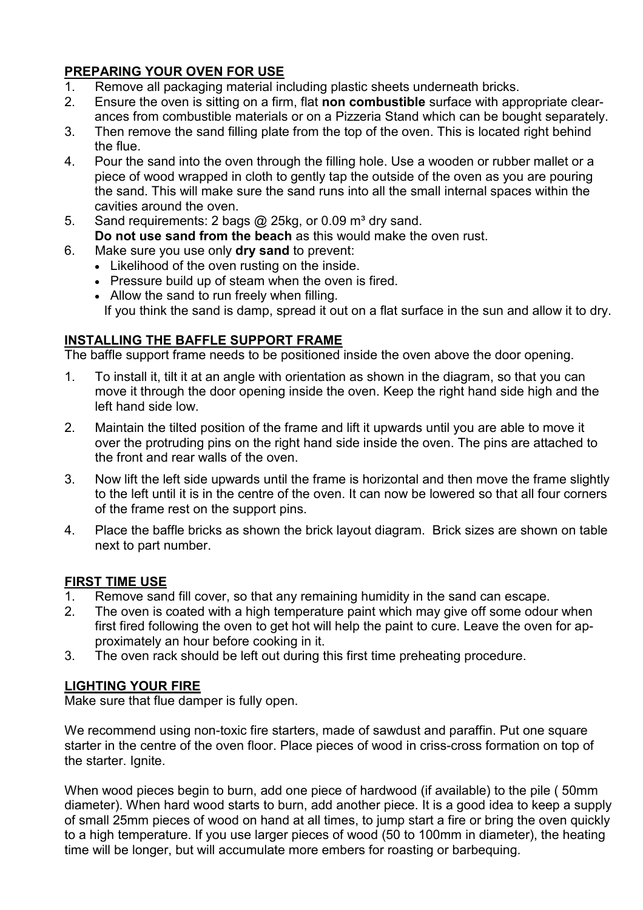# PREPARING YOUR OVEN FOR USE

- 1. Remove all packaging material including plastic sheets underneath bricks.
- 2. Ensure the oven is sitting on a firm, flat non combustible surface with appropriate clearances from combustible materials or on a Pizzeria Stand which can be bought separately.
- 3. Then remove the sand filling plate from the top of the oven. This is located right behind the flue.
- 4. Pour the sand into the oven through the filling hole. Use a wooden or rubber mallet or a piece of wood wrapped in cloth to gently tap the outside of the oven as you are pouring the sand. This will make sure the sand runs into all the small internal spaces within the cavities around the oven.
- 5. Sand requirements: 2 bags  $\omega$  25kg, or 0.09 m<sup>3</sup> dry sand. Do not use sand from the beach as this would make the oven rust.
- 6. Make sure you use only dry sand to prevent:
	- Likelihood of the oven rusting on the inside.
	- Pressure build up of steam when the oven is fired.
	- Allow the sand to run freely when filling.

If you think the sand is damp, spread it out on a flat surface in the sun and allow it to dry.

#### INSTALLING THE BAFFLE SUPPORT FRAME

The baffle support frame needs to be positioned inside the oven above the door opening.

- 1. To install it, tilt it at an angle with orientation as shown in the diagram, so that you can move it through the door opening inside the oven. Keep the right hand side high and the left hand side low.
- 2. Maintain the tilted position of the frame and lift it upwards until you are able to move it over the protruding pins on the right hand side inside the oven. The pins are attached to the front and rear walls of the oven.
- 3. Now lift the left side upwards until the frame is horizontal and then move the frame slightly to the left until it is in the centre of the oven. It can now be lowered so that all four corners of the frame rest on the support pins.
- 4. Place the baffle bricks as shown the brick layout diagram. Brick sizes are shown on table next to part number.

# FIRST TIME USE

- 1. Remove sand fill cover, so that any remaining humidity in the sand can escape.
- 2. The oven is coated with a high temperature paint which may give off some odour when first fired following the oven to get hot will help the paint to cure. Leave the oven for approximately an hour before cooking in it.
- 3. The oven rack should be left out during this first time preheating procedure.

# LIGHTING YOUR FIRE

Make sure that flue damper is fully open.

We recommend using non-toxic fire starters, made of sawdust and paraffin. Put one square starter in the centre of the oven floor. Place pieces of wood in criss-cross formation on top of the starter. Ignite.

When wood pieces begin to burn, add one piece of hardwood (if available) to the pile ( 50mm diameter). When hard wood starts to burn, add another piece. It is a good idea to keep a supply of small 25mm pieces of wood on hand at all times, to jump start a fire or bring the oven quickly to a high temperature. If you use larger pieces of wood (50 to 100mm in diameter), the heating time will be longer, but will accumulate more embers for roasting or barbequing.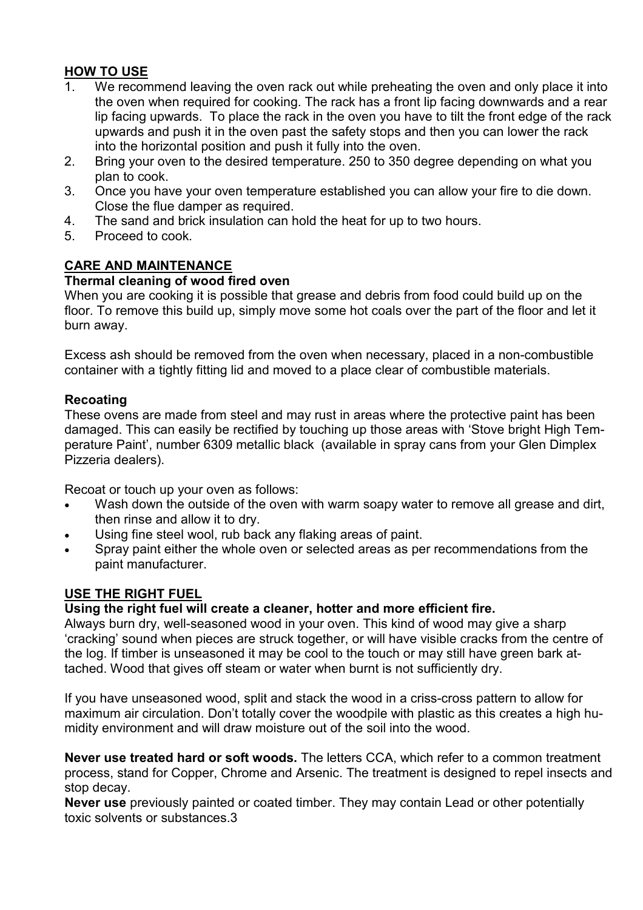### HOW TO USE

- 1. We recommend leaving the oven rack out while preheating the oven and only place it into the oven when required for cooking. The rack has a front lip facing downwards and a rear lip facing upwards. To place the rack in the oven you have to tilt the front edge of the rack upwards and push it in the oven past the safety stops and then you can lower the rack into the horizontal position and push it fully into the oven.
- 2. Bring your oven to the desired temperature. 250 to 350 degree depending on what you plan to cook.
- 3. Once you have your oven temperature established you can allow your fire to die down. Close the flue damper as required.
- 4. The sand and brick insulation can hold the heat for up to two hours.
- 5. Proceed to cook.

# CARE AND MAINTENANCE

#### Thermal cleaning of wood fired oven

When you are cooking it is possible that grease and debris from food could build up on the floor. To remove this build up, simply move some hot coals over the part of the floor and let it burn away.

Excess ash should be removed from the oven when necessary, placed in a non-combustible container with a tightly fitting lid and moved to a place clear of combustible materials.

#### Recoating

These ovens are made from steel and may rust in areas where the protective paint has been damaged. This can easily be rectified by touching up those areas with 'Stove bright High Temperature Paint', number 6309 metallic black (available in spray cans from your Glen Dimplex Pizzeria dealers).

Recoat or touch up your oven as follows:

- Wash down the outside of the oven with warm soapy water to remove all grease and dirt, then rinse and allow it to dry.
- Using fine steel wool, rub back any flaking areas of paint.
- Spray paint either the whole oven or selected areas as per recommendations from the paint manufacturer.

# USE THE RIGHT FUEL

# Using the right fuel will create a cleaner, hotter and more efficient fire.

Always burn dry, well-seasoned wood in your oven. This kind of wood may give a sharp 'cracking' sound when pieces are struck together, or will have visible cracks from the centre of the log. If timber is unseasoned it may be cool to the touch or may still have green bark attached. Wood that gives off steam or water when burnt is not sufficiently dry.

If you have unseasoned wood, split and stack the wood in a criss-cross pattern to allow for maximum air circulation. Don't totally cover the woodpile with plastic as this creates a high humidity environment and will draw moisture out of the soil into the wood.

Never use treated hard or soft woods. The letters CCA, which refer to a common treatment process, stand for Copper, Chrome and Arsenic. The treatment is designed to repel insects and stop decay.

Never use previously painted or coated timber. They may contain Lead or other potentially toxic solvents or substances.3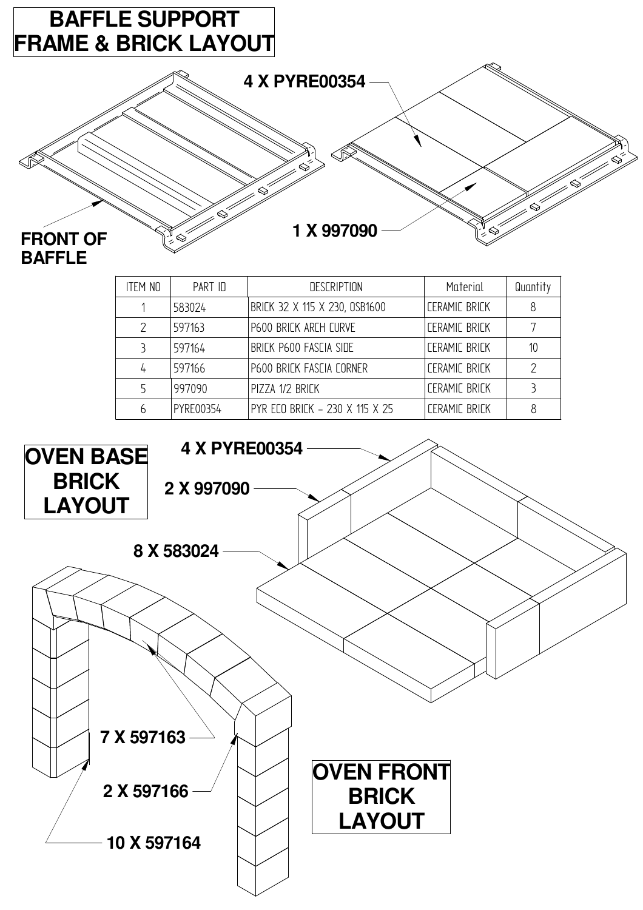

| <b>ITEM NO</b> | PART ID   | <b>DESCRIPTION</b>             | Material                    | Quantity |  |
|----------------|-----------|--------------------------------|-----------------------------|----------|--|
|                | 583024    | BRICK 32 X 115 X 230, 0SB1600  | <b><i>CERAMIC BRICK</i></b> | 8        |  |
|                | 597163    | P600 BRICK ARCH CURVE          | <b><i>CERAMIC BRICK</i></b> |          |  |
|                | 597164    | BRICK P600 FASCIA SIDE         | <b><i>CERAMIC BRICK</i></b> | 10       |  |
| 4              | 597166    | P600 BRICK FASCIA CORNER       | <b>CERAMIC BRICK</b>        | 2        |  |
|                | 997090    | PIZZA 1/2 BRICK                | <b><i>CERAMIC BRICK</i></b> |          |  |
|                | PYRE00354 | PYR ECO BRICK - 230 X 115 X 25 | <b><i>CERAMIC BRICK</i></b> |          |  |
|                |           |                                |                             |          |  |

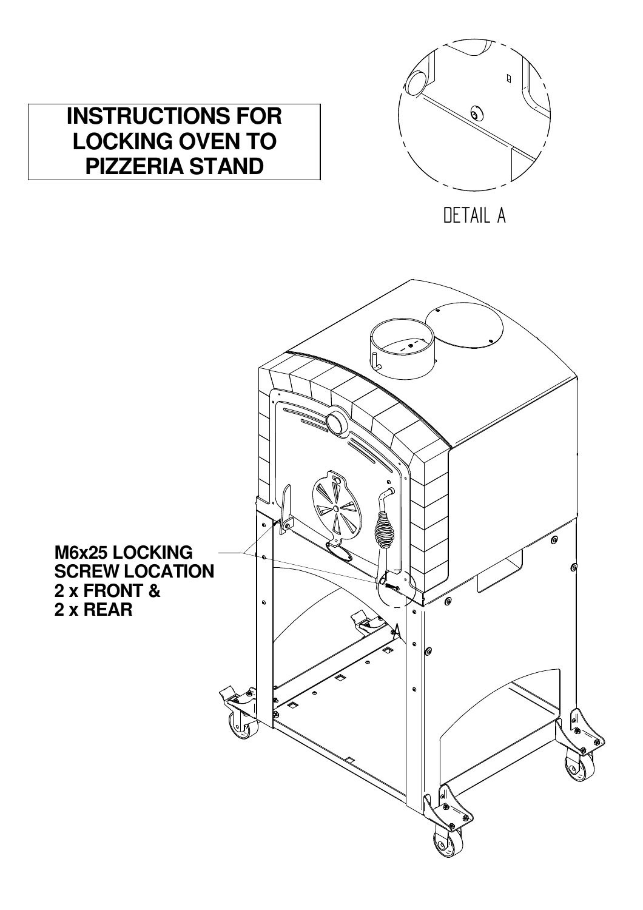

# DETAIL A



**INSTRUCTIONS FOR LOCKING OVEN TO PIZZERIA STAND**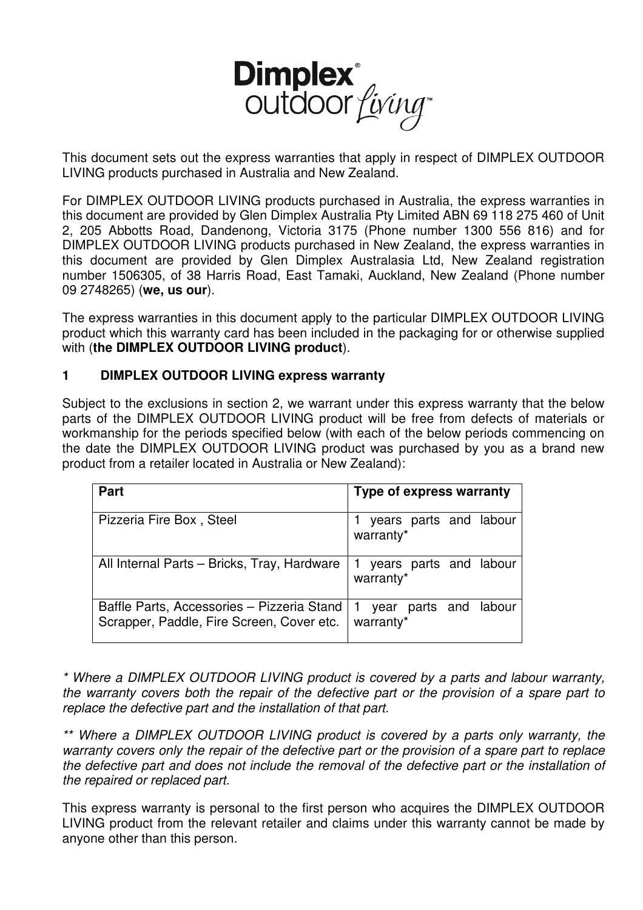

This document sets out the express warranties that apply in respect of DIMPLEX OUTDOOR LIVING products purchased in Australia and New Zealand.

For DIMPLEX OUTDOOR LIVING products purchased in Australia, the express warranties in this document are provided by Glen Dimplex Australia Pty Limited ABN 69 118 275 460 of Unit 2, 205 Abbotts Road, Dandenong, Victoria 3175 (Phone number 1300 556 816) and for DIMPLEX OUTDOOR LIVING products purchased in New Zealand, the express warranties in this document are provided by Glen Dimplex Australasia Ltd, New Zealand registration number 1506305, of 38 Harris Road, East Tamaki, Auckland, New Zealand (Phone number 09 2748265) (**we, us our**).

The express warranties in this document apply to the particular DIMPLEX OUTDOOR LIVING product which this warranty card has been included in the packaging for or otherwise supplied with (**the DIMPLEX OUTDOOR LIVING product**).

#### **1 DIMPLEX OUTDOOR LIVING express warranty**

Subject to the exclusions in section 2, we warrant under this express warranty that the below parts of the DIMPLEX OUTDOOR LIVING product will be free from defects of materials or workmanship for the periods specified below (with each of the below periods commencing on the date the DIMPLEX OUTDOOR LIVING product was purchased by you as a brand new product from a retailer located in Australia or New Zealand):

| <b>Part</b>                                                                                 | <b>Type of express warranty</b>        |  |  |  |
|---------------------------------------------------------------------------------------------|----------------------------------------|--|--|--|
|                                                                                             |                                        |  |  |  |
| Pizzeria Fire Box, Steel                                                                    | 1 years parts and labour<br>warranty*  |  |  |  |
| All Internal Parts - Bricks, Tray, Hardware                                                 | 1 years parts and labour<br> warranty* |  |  |  |
| Baffle Parts, Accessories - Pizzeria Stand   1<br>Scrapper, Paddle, Fire Screen, Cover etc. | year parts and labour<br>warranty*     |  |  |  |

\* Where a DIMPLEX OUTDOOR LIVING product is covered by a parts and labour warranty, the warranty covers both the repair of the defective part or the provision of a spare part to replace the defective part and the installation of that part.

\*\* Where a DIMPLEX OUTDOOR LIVING product is covered by a parts only warranty, the warranty covers only the repair of the defective part or the provision of a spare part to replace the defective part and does not include the removal of the defective part or the installation of the repaired or replaced part.

This express warranty is personal to the first person who acquires the DIMPLEX OUTDOOR LIVING product from the relevant retailer and claims under this warranty cannot be made by anyone other than this person.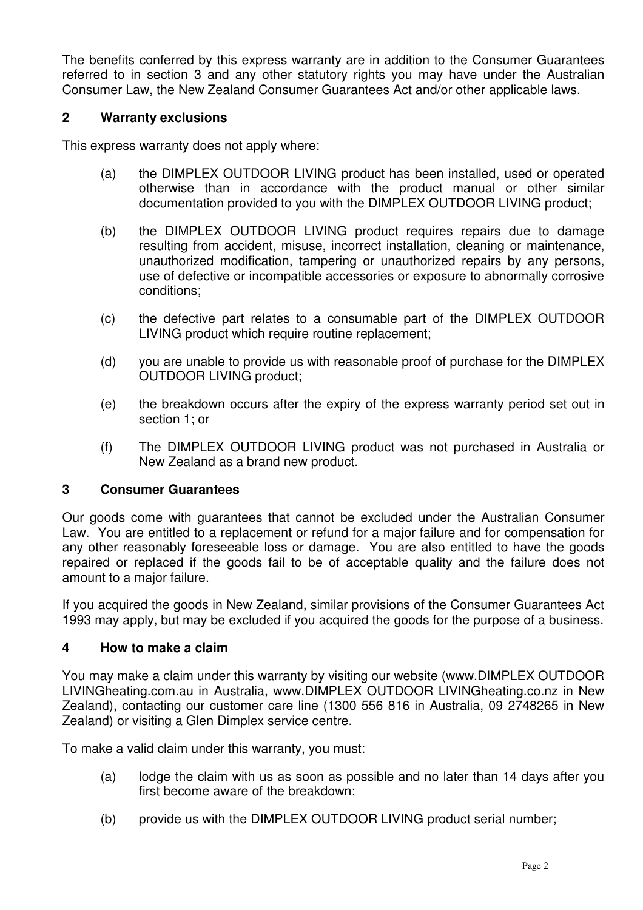The benefits conferred by this express warranty are in addition to the Consumer Guarantees referred to in section 3 and any other statutory rights you may have under the Australian Consumer Law, the New Zealand Consumer Guarantees Act and/or other applicable laws.

#### **2 Warranty exclusions**

This express warranty does not apply where:

- (a) the DIMPLEX OUTDOOR LIVING product has been installed, used or operated otherwise than in accordance with the product manual or other similar documentation provided to you with the DIMPLEX OUTDOOR LIVING product;
- (b) the DIMPLEX OUTDOOR LIVING product requires repairs due to damage resulting from accident, misuse, incorrect installation, cleaning or maintenance, unauthorized modification, tampering or unauthorized repairs by any persons, use of defective or incompatible accessories or exposure to abnormally corrosive conditions;
- (c) the defective part relates to a consumable part of the DIMPLEX OUTDOOR LIVING product which require routine replacement;
- (d) you are unable to provide us with reasonable proof of purchase for the DIMPLEX OUTDOOR LIVING product;
- (e) the breakdown occurs after the expiry of the express warranty period set out in section 1; or
- (f) The DIMPLEX OUTDOOR LIVING product was not purchased in Australia or New Zealand as a brand new product.

#### **3 Consumer Guarantees**

Our goods come with guarantees that cannot be excluded under the Australian Consumer Law. You are entitled to a replacement or refund for a major failure and for compensation for any other reasonably foreseeable loss or damage. You are also entitled to have the goods repaired or replaced if the goods fail to be of acceptable quality and the failure does not amount to a major failure.

If you acquired the goods in New Zealand, similar provisions of the Consumer Guarantees Act 1993 may apply, but may be excluded if you acquired the goods for the purpose of a business.

#### **4 How to make a claim**

You may make a claim under this warranty by visiting our website (www.DIMPLEX OUTDOOR LIVINGheating.com.au in Australia, www.DIMPLEX OUTDOOR LIVINGheating.co.nz in New Zealand), contacting our customer care line (1300 556 816 in Australia, 09 2748265 in New Zealand) or visiting a Glen Dimplex service centre.

To make a valid claim under this warranty, you must:

- (a) lodge the claim with us as soon as possible and no later than 14 days after you first become aware of the breakdown;
- (b) provide us with the DIMPLEX OUTDOOR LIVING product serial number;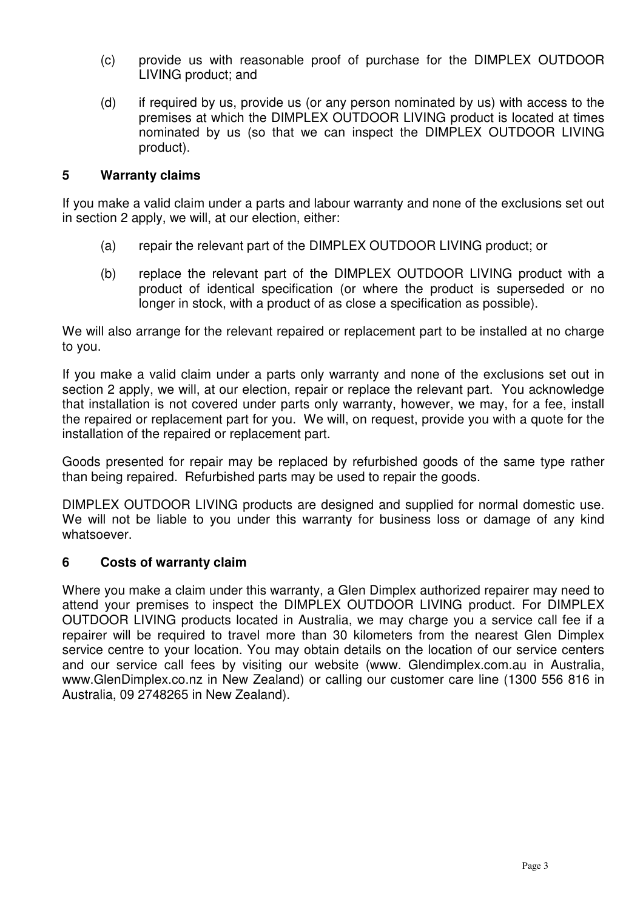- (c) provide us with reasonable proof of purchase for the DIMPLEX OUTDOOR LIVING product; and
- (d) if required by us, provide us (or any person nominated by us) with access to the premises at which the DIMPLEX OUTDOOR LIVING product is located at times nominated by us (so that we can inspect the DIMPLEX OUTDOOR LIVING product).

#### **5 Warranty claims**

If you make a valid claim under a parts and labour warranty and none of the exclusions set out in section 2 apply, we will, at our election, either:

- (a) repair the relevant part of the DIMPLEX OUTDOOR LIVING product; or
- (b) replace the relevant part of the DIMPLEX OUTDOOR LIVING product with a product of identical specification (or where the product is superseded or no longer in stock, with a product of as close a specification as possible).

We will also arrange for the relevant repaired or replacement part to be installed at no charge to you.

If you make a valid claim under a parts only warranty and none of the exclusions set out in section 2 apply, we will, at our election, repair or replace the relevant part. You acknowledge that installation is not covered under parts only warranty, however, we may, for a fee, install the repaired or replacement part for you. We will, on request, provide you with a quote for the installation of the repaired or replacement part.

Goods presented for repair may be replaced by refurbished goods of the same type rather than being repaired. Refurbished parts may be used to repair the goods.

DIMPLEX OUTDOOR LIVING products are designed and supplied for normal domestic use. We will not be liable to you under this warranty for business loss or damage of any kind whatsoever.

#### **6 Costs of warranty claim**

Where you make a claim under this warranty, a Glen Dimplex authorized repairer may need to attend your premises to inspect the DIMPLEX OUTDOOR LIVING product. For DIMPLEX OUTDOOR LIVING products located in Australia, we may charge you a service call fee if a repairer will be required to travel more than 30 kilometers from the nearest Glen Dimplex service centre to your location. You may obtain details on the location of our service centers and our service call fees by visiting our website (www. Glendimplex.com.au in Australia, www.GlenDimplex.co.nz in New Zealand) or calling our customer care line (1300 556 816 in Australia, 09 2748265 in New Zealand).